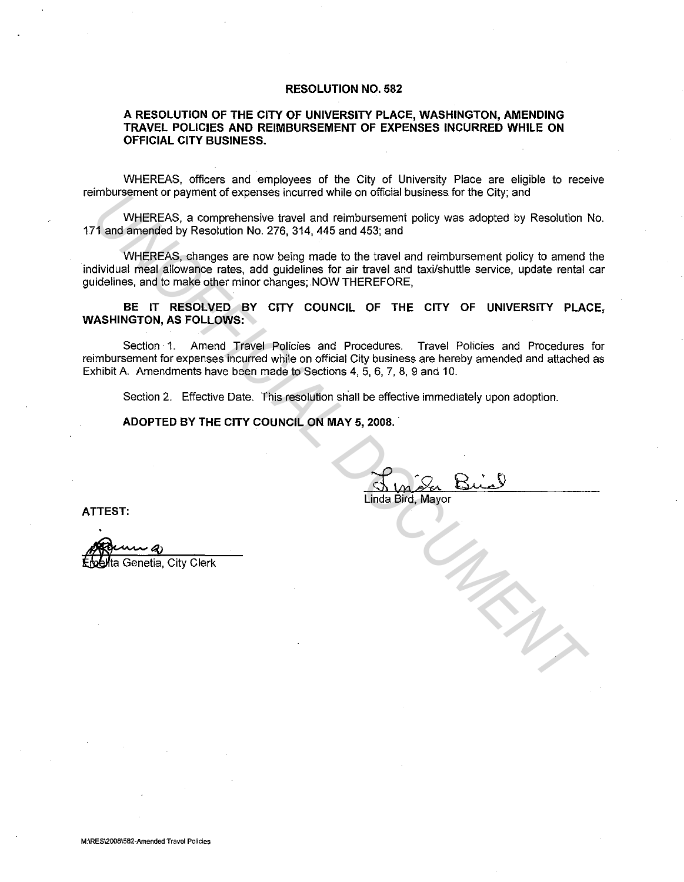#### **RESOLUTION NO. 582**

### **A RESOLUTION OF THE CITY OF UNIVERSITY PLACE, WASHINGTON, AMENDING TRAVEL POLICIES AND REIMBURSEMENT OF EXPENSES INCURRED WHILE ON OFFICIAL CITY BUSINESS.**

WHEREAS, officers and employees of the City of University Place are eligible to receive reimbursement or payment of expenses incurred while on official business for the City; and

WHEREAS, a comprehensive travel and reimbursement policy was adopted by Resolution No. 171 and amended by Resolution No. 276, 314, 445 and 453; and

WHEREAS, changes are now being made to the travel and reimbursement policy to amend the individual meal allowance rates, add guidelines for air travel and taxi/shuttle service, update rental car guidelines. and to make other minor changes; .NOW THEREFORE, innoursement or payment or expenses incurred while on ominal dusiness for the City, and<br> **WHEREAS, a** comprehensive travel and reinhousement policy was adopted by Resolution<br>
11 and almonded by Resolution No. 276, 314, 445

**BE IT RESOLVED BY CITY COUNCIL OF THE CITY OF UNIVERSITY PLACE, WASHINGTON, AS FOLLOWS:** 

Section· 1. Amend Travel Policies and Procedures. Travel Policies and Procedures for reimbursement for expenses incurred while on official City business are hereby amended and attached as Exhibit A. Amendments have been made to Sections 4, 5, 6, 7, 8, 9 and 10.

Section 2. Effective Date. This resolution shall be effective immediately upon adoption.

**ADOPTED BY THE CITY COUNCIL ON MAY 5, 2008 ..** 

**ATTEST:** 

ta Genetia, City Clerk

Linda Bird, Mayor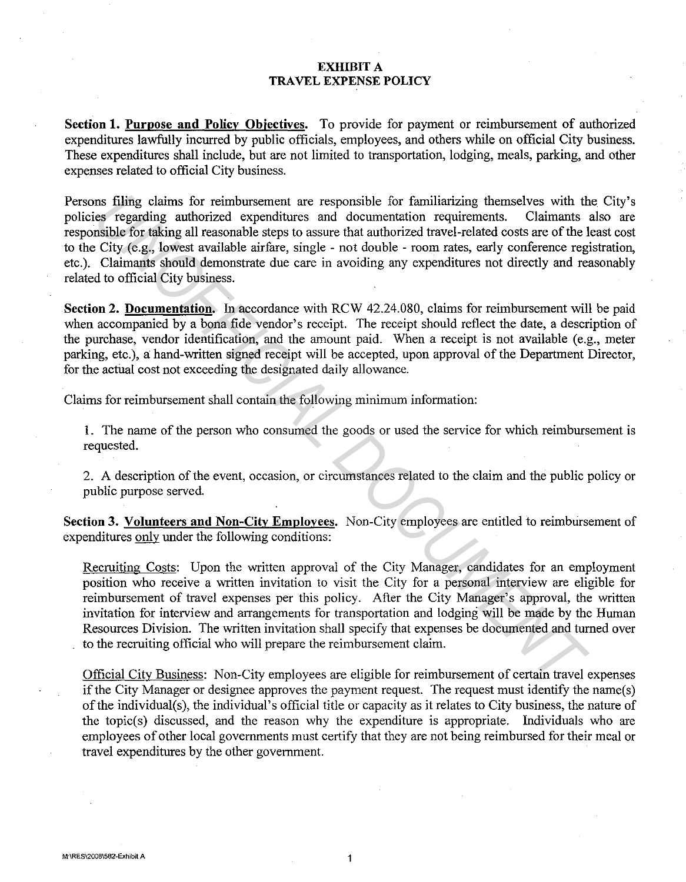## **EXHIBIT A TRAVEL EXPENSE POLICY**

**Section 1. Purpose and Policy Objectives.** To provide for payment or reimbursement of authorized expenditures lawfully incurred by public officials, employees, and others while on official City business. These expenditures shall include, but are not limited to transportation, lodging, meals, parking, and other expenses related to official City business.

Persons filing claims for reimbursement are responsible for familiarizing themselves with the City's policies regarding authorized expenditures and documentation requirements. Claimants also are responsible for taking all reasonable steps to assure that authorized travel-related costs are of the least cost to the City (e.g., lowest available airfare, single - not double - room rates, early conference registration, etc.). Claimants should demonstrate due care in avoiding any expenditures not directly and reasonably related to official City business. Ins filing claims for reimbursement are responsible for familiarizing themselves with the sergending authorized expending tremention requirements. Claimants showed available for taking all reasonable steps to assure that a

**Section 2. Documentation.** In accordance with RCW 42.24.080, claims for reimbursement will be paid when accompanied by a bona fide vendor's receipt. The receipt should reflect the date, a description of the purchase, vendor identification, and the amount paid. When a receipt is not available (e.g., meter parking, etc.), a hand-written signed receipt will be accepted, upon approval of the Department Director, for the actual cost not exceeding the designated daily allowance.

Claims for reimbursement shall contain the following minimum information:

1. The name of the person who consumed the goods or used the service for which reimbursement is requested.

2. A description of the event, occasion, or circumstances related to the claim and the public policy or public purpose served.

Section 3. Volunteers and Non-City Employees. Non-City employees are entitled to reimbursement of expenditures only under the following conditions:

Recruiting Costs: Upon the written approval of the City Manager, candidates for an employment position who receive a written invitation to visit the City for a personal interview are eligible for reimbursement of travel expenses per this policy. After the City Manager's approval, the written invitation for interview and arrangements for transportation and lodging will be made by the Human Resources Division. The written invitation shall specify that expenses be documented and turned over to the recruiting official who will prepare the reimbursement claim.

Official City Business: Non-City employees are eligible for reimbursement of certain travel expenses if the City Manager or designee approves the payment request. The request must identify the name(s) of the individual(s), the individual's official title or capacity as it relates to City business, the nature of the topic(s) discussed, and the reason why the expenditure is appropriate. Individuals who are employees of other local governments must certify that they are not being reimbursed for their meal or travel expenditures by the other government.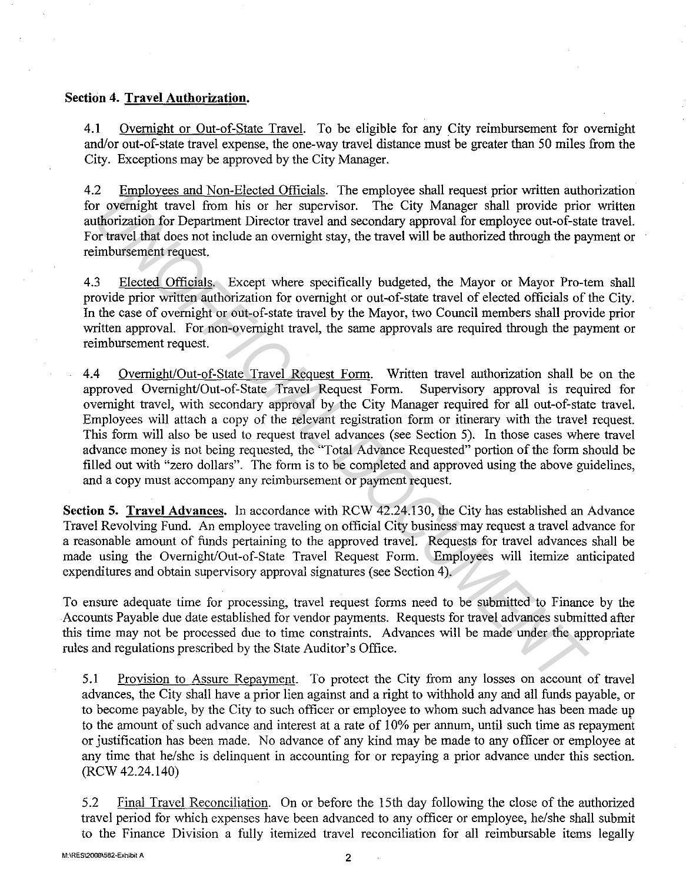## **Section 4. Travel Authorization.**

**4.1** Overnight or Out-of-State Travel. To be eligible for any City reimbursement for overnight and/or out-of-state travel expense, the one-way travel distance must be greater than 50 miles from the City. Exceptions may be approved by the City Manager.

4.2 Employees and Non-Elected Officials. The employee shall request prior written authorization for overnight travel from his or her supervisor. The City Manager shall provide prior written authorization for Department Director travel and secondary approval for employee out-of-state travel. For travel that does not include an overnight stay, the travel will be authorized through the payment or reimbursement request.

4.3 Elected Officials. Except where specifically budgeted, the Mayor or Mayor Pro-tem shall provide prior written authorization for overnight or out-of-state travel of elected officials of the City. In the case of overnight or out-of-state travel by the Mayor, two Council members shall provide prior written approval. For non-overnight travel, the same approvals are required through the payment or reimbursement request.

4.4 Overnight/Out-of-State Travel Request Form. Written travel authorization shall be on the approved Overnight/Out-of-State Travel Request Form. Supervisory approval is required for overnight travel, with secondary approval by the City Manager required for all out-of-state travel. Employees will attach a copy of the relevant registration form or itinerary with the travel request. This form will also be used to request travel advances (see Section 5). In those cases where travel advance money is not being requested, the 'Total Advance Requested" portion of the form should be filled out with "zero dollars". The form is to be completed and approved using the above guidelines, and a copy must accompany any reimbursement or payment request. 2 completed of the present increase into a upplomate the transportant of the approvisor. The City Manager shall provide prior or travel informations for Department Director travel and secondary approval for employee out-o

**Section 5. Travel Advances.** In accordance with RCW 42.24.130, the City has established an Advance Travel Revolving Fund. An employee traveling on official City business may request a travel advance for a reasonable amount of funds pertaining to the approved travel. Requests for travel advances shall be made using the Overnight/Out-of-State Travel Request Form. Employees will itemize anticipated expenditures and obtain supervisory approval signatures (see Section 4).

To ensure adequate time for processing, travel request forms need to be submitted to Finance by the Accounts Payable due date established for vendor payments. Requests for travel advances submitted after this time may not be processed due to time constraints. Advances will be made under the appropriate rules and regulations prescribed by the State Auditor's Office.

5 .1 Provision to Assure Repayment. To protect the City from any losses on account of travel advances, the City shall have a prior lien against and a right to withhold any and all funds payable, or to become payable, by the City to such officer or employee to whom such advance has been made up to the amount of such advance and interest at a rate of 10% per annum, until such time as repayment or justification has been made. No advance of any kind may be made to any officer or employee at any time that he/she is delinquent in accounting for or repaying a prior advance under this section. (RCW 42.24.140)

5.2 Final Travel Reconciliation. On or before the 15th day following the close of the authorized travel period for which expenses have been advanced to any officer or employee, he/she shall submit to the Finance Division a fully itemized travel reconciliation for all reimbursable items legally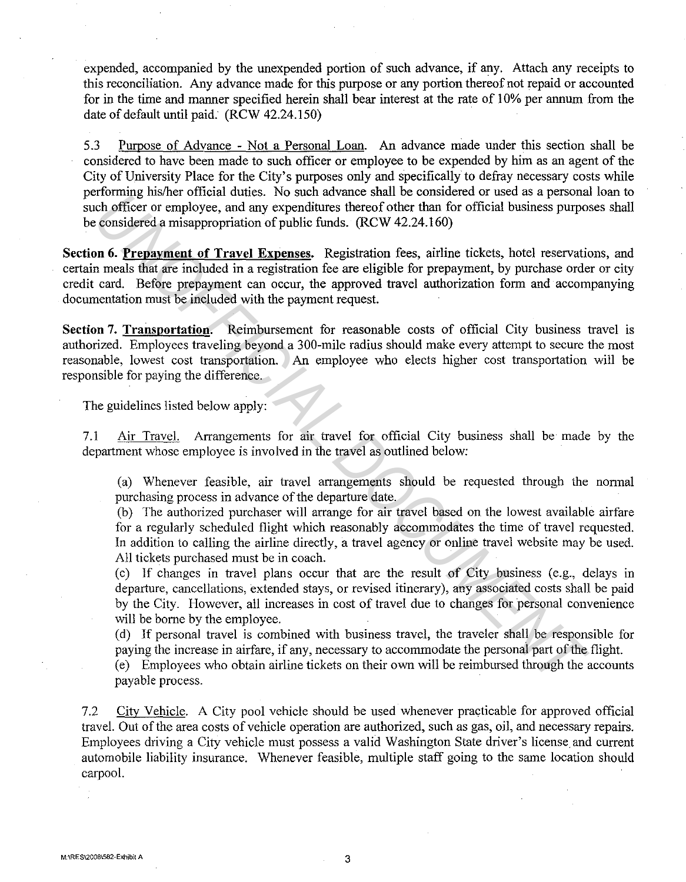expended, accompanied by the unexpended portion of such advance, if any. Attach any receipts to this reconciliation. Any advance made for this purpose or any portion thereof not repaid or accounted for in the time and manner specified herein shall bear interest at the rate of 10% per annum from the date of default until paid. (RCW 42.24.150)

5.3 Puroose of Advance - Not a Personal Loan. An advance made under this section shall be considered to have been made to such officer or employee to be expended by him as an agent of the City of University Place for the City's purposes only and specifically to defray necessary costs while performing his/her official duties. No such advance shall be considered or used as a personal loan to such officer or employee, and any expenditures thereof other than for official business purposes shall be considered a misappropriation of public funds. (RCW 42.24.160)

**Section 6. Prepayment of Travel Expenses.** Registration fees, airline tickets, hotel reservations, and certain meals that are included in a registration fee are eligible for prepayment, by purchase order or city credit card. Before prepayment can occur, the approved travel authorization form and accompanying documentation must be included with the payment request. **EXECUTE THE SET CONSULT SET AND SOLUTE SET AND SOLUTE TO THE SET AND THE SET AND THE CONSULTED THE UNITE CONSULTED AND MULTED CONSULTED THE UNITED THE CONSULTED THE CONSULTED THE CONSULTED CONSULTED THE CONSULTED CONSULTE** 

Section 7. Transportation. Reimbursement for reasonable costs of official City business travel is authorized. Employees traveling beyond a 300-mile radius should make every attempt to secure the most reasonable, lowest cost transportation. An employee who elects higher cost transportation will be responsible for paying the difference.

The guidelines listed below apply:

7.1 Air Travel. Arrangements for air travel for official City business shall be made by the department whose employee is involved in the travel as outlined below:

(a) Whenever feasible, air travel arrangements should be requested through the nonnal purchasing process in advance of the departure date.

(b) The authorized purchaser will arrange for air travel based on the lowest available airfare for a regularly scheduled flight which reasonably accommodates the time of travel requested. In addition to calling the airline directly, a travel agency or online travel website may be used. All tickets purchased must be in coach.

(c) If changes in travel plans occur that are the result of City business (e.g., delays in departure, cancellations, extended stays, or revised itinerary), any associated costs shall be paid by the City. However, all increases in cost of travel due to changes for personal convenience will be borne by the employee.

( d) If personal travel is combined vvith business travel, the traveler shall be responsible for paying the increase in airfare, if any, necessary to accommodate the personal part of the flight.

( e) Employees who obtain airline tickets on their own will be reimbursed through the accounts payable process.

7 .2 City Vehicle. A City pool vehicle should be used whenever practicable for approved official travel. Out of the area costs of vehicle operation are authorized, such as gas, oil, and necessary repairs. Employees driving a City vehicle must possess a valid Washington State driver's license and current automobile liability insurance. Whenever feasible, multiple staff going to the same location should carpool.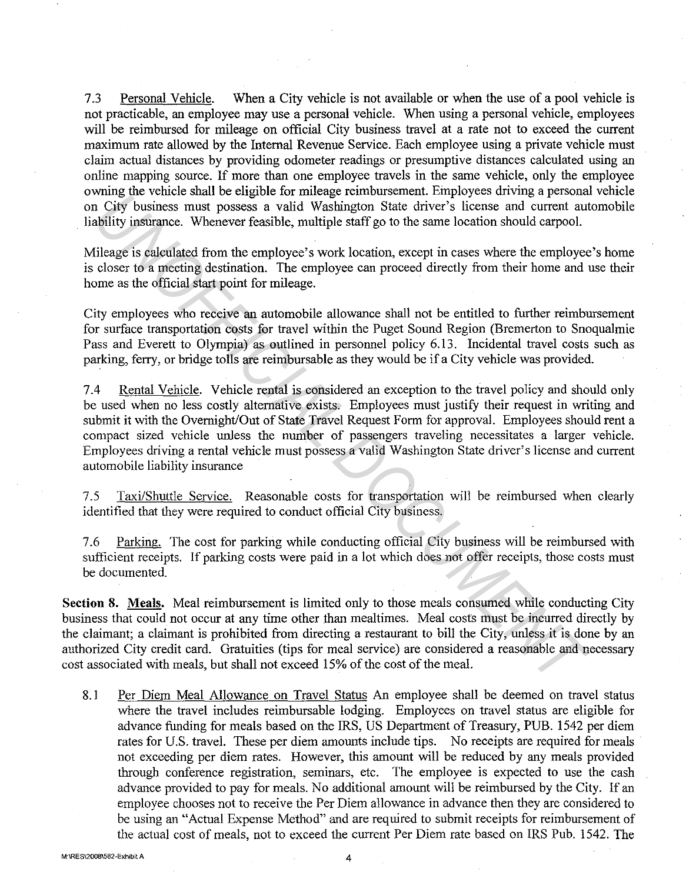7 .3 Personal Vehicle. When a City vehicle is not available or when the use of a pool vehicle is not practicable, an employee may use a personal vehicle. When using a personal vehicle, employees will be reimbursed for mileage on official City business travel at a rate not to exceed the current maximum rate allowed by the Internal Revenue Service. Each employee using a private vehicle must claim actual distances by providing odometer readings or presumptive distances calculated using an online mapping source. If more than one employee travels in the same vehicle, only the employee owning the vehicle shall be eligible for mileage reimbursement. Employees driving a personal vehicle on City business must possess a valid Washington State driver's license and current automobile liability insurance. Whenever feasible, multiple staff go to the same location should carpool.

Mileage is calculated from the employee's work location, except in cases where the employee's home is closer to a meeting destination. The employee can proceed directly from their home and use their home as the official start point for mileage.

City employees who receive an automobile allowance shall not be entitled to further reimbursement for surface transportation costs for travel within the Puget Sound Region (Bremerton to Snoqualmie Pass and Everett to Olympia) as outlined in personnel policy 6.13. Incidental travel costs such as parking, ferry, or bridge tolls are reimbursable as they would be if a City vehicle was provided.

7.4 Rental Vehicle. Vehicle rental is considered an exception to the travel policy and should only be used when no less costly alternative exists. Employees must justify their request in writing and submit it with the Overnight/Out of State Travel Request Form for approval. Employees should rent a compact sized vehicle unless the number of passengers traveling necessitates a larger vehicle. Employees driving a rental vehicle must possess a valid Washington State driver's license and current automobile liability insurance wing the venture stand to explore to intraging curlination that includes a considerate in City business must possess a valid Washington State driver's license and current autofitity institutions. Whenever feasible, multipl

7.5 Taxi/Shuttle Service. Reasonable costs for transportation will be reimbursed when clearly identified that they were required to conduct official City business.

7 .6 Parking. The cost for parking while conducting official City business will be reimbursed with sufficient receipts. If parking costs were paid in a lot which does not offer receipts, those costs must be documented.

**Section 8. Meals.** Meal reimbursement is limited only to those meals consumed while conducting City business that could not occur at any time other than mealtimes. Meal costs must be incurred directly by the claimant; a claimant is prohibited from directing a restaurant to bill the City, unless it is done by an authorized City credit card. Gratuities (tips for meal service) are considered a reasonable and necessary cost associated with meals, but shall not exceed 15% of the cost of the meal.

8.1 Per Diem Meal Allowance on Travel Status An employee shall be deemed on travel status where the travel includes reimbursable lodging. Employees on travel status are eligible for advance funding for meals based on the IRS, US Department of Treasury, PUB. 1542 per diem rates for U.S. travel. These per diem amounts include tips. No receipts are required for meals not exceeding per diem rates. However, this amount will be reduced by any meals provided through conference registration, seminars, etc. The employee is expected to use the cash advance provided to pay for meals. No additional amount will be reimbursed by the City. If an employee chooses not to receive the Per Diem allowance in advance then they are considered to be using an "Actual Expense Method" and are required to submit receipts for reimbursement of the actual cost of meals, not to exceed the current Per Diem rate based on IRS Pub. 1542. The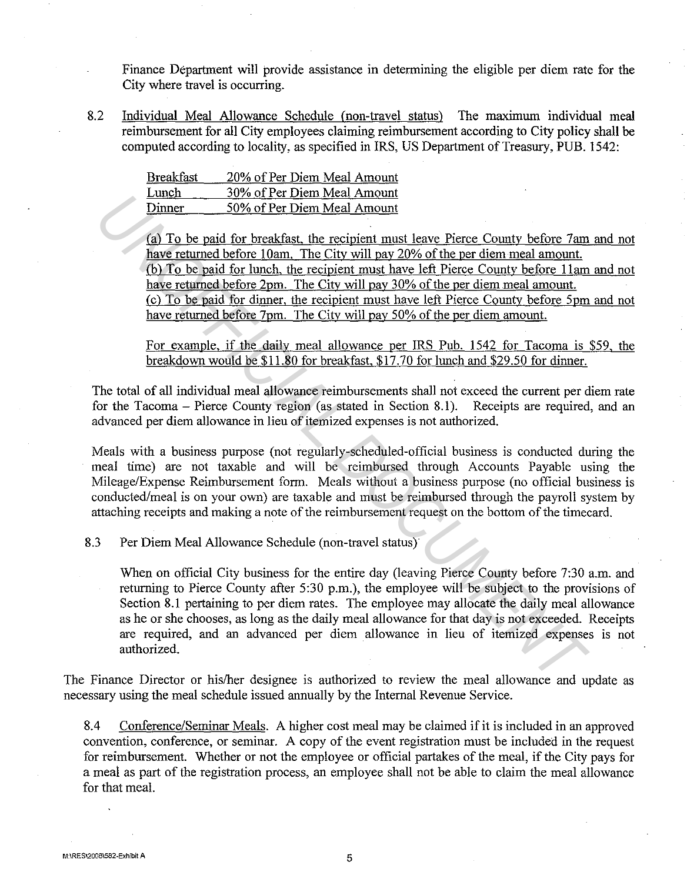Finance Department will provide assistance in determining the eligible per diem rate for the City where travel is occurring.

8.2 Individual Meal Allowance Schedule (non-travel status) The maximum individual meal reimbursement for all City employees claiming reimbursement according to City policy shall be computed according to locality, as specified in IRS, US Department of Treasury, PUB. 1542:

| <b>Breakfast</b> | 20% of Per Diem Meal Amount |
|------------------|-----------------------------|
| Lunch            | 30% of Per Diem Meal Amount |
| Dinner           | 50% of Per Diem Meal Amount |

(a) To be paid for breakfast, the recipient must leave Pierce County before 7am and not have returned before 10am. The City will pay 20% of the per diem meal amount. (b) To be paid for lunch, the recipient must have left Pierce County before I lam and not have returned before 2pm. The City will pay 30% of the per diem meal amount. (c) To be paid for dinner, the recipient must have left Pierce Countv before 5pm and not have returned before 7pm. The City will pay 50% of the per diem amount.

For example, if the daily meal allowance per IRS Pub. 1542 for Tacoma is \$59, the breakdown would be \$11.80 for breakfast, \$17. 70 for lunch and \$29 .50 for dinner.

The total of all individual meal allowance reimbursements shall not exceed the current per diem rate for the Tacoma – Pierce County region (as stated in Section 8.1). Receipts are required, and an advanced per diem allowance in lieu of itemized expenses is not authorized.

Meals with a business purpose (not regularly-scheduled-official business is conducted during the meal time) are not taxable and will be reimbursed through Accounts Payable using the Mileage/Expense Reimbursement form. Meals without a business purpose (no official business is conducted/meal is on your own) are taxable and must be reimbursed through the payroll system by attaching receipts and making a note of the reimbursement request on the bottom of the timecard.

8.3 Per Diem Meal Allowance Schedule (non-travel status)

When on official City business for the entire day (leaving Pierce County before 7:30 a.m. and returning to Pierce County after 5:30 p.m.), the employee will be subject to the provisions of Section 8.1 pertaining to per diem rates. The employee may allocate the daily meal allowance as he or she chooses, as long as the daily meal allowance for that day is not exceeded. Receipts are required, and an advanced per diem allowance in lieu of itemized expenses is not authorized. **Union 1898 of Per Diem Meal Amount**<br> **Union 1998 of Per Diem Meal Amount**<br> **Union 1998 of Per Diem Meal Amount**<br> **(a) To be paid for breakfast, the recipient must leave Pierce County before 7am<br>
have returned before 10am.** 

The Finance Director or his/her designee is authorized to review the meal allowance and update as necessary using the meal schedule issued annually by the Internal Revenue Service.

8.4 Conference/Seminar Meals. A higher cost meal may be claimed if it is included in an approved convention, conference, or seminar. A copy of the event registration must be included in the request for reimbursement. Whether or not the employee or official partakes of the meal, if the City pays for a meal as part of the registration process, an employee shall not be able to claim the meal allowance for that meal.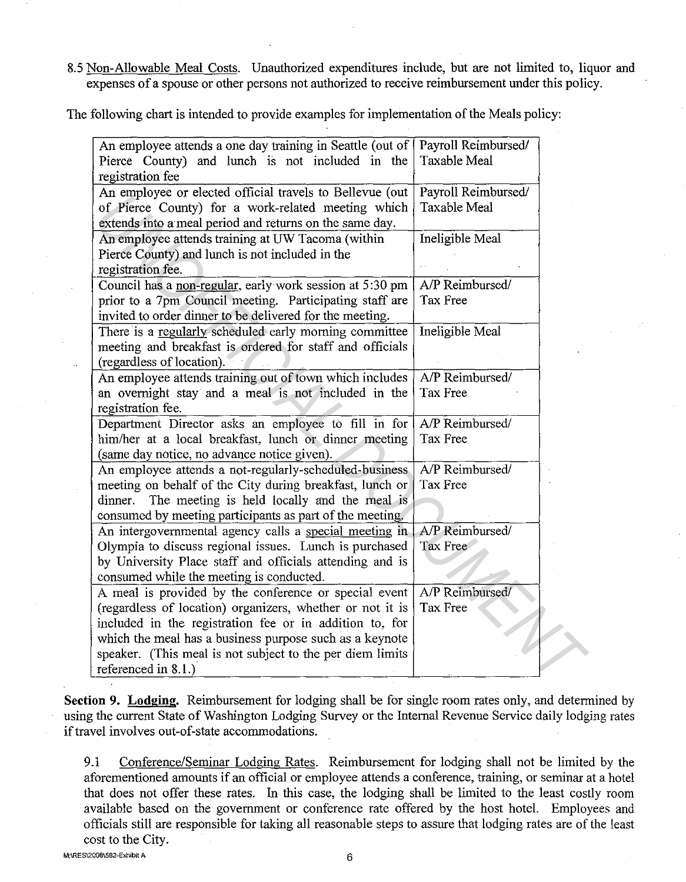8.5 Non-Allowable Meal Costs. Unauthorized expenditures include, but are not limited to, liquor and expenses of a spouse or other persons not authorized to receive reimbursement under this policy.

The following chart is intended to provide examples for implementation of the Meals policy:

| An employee attends a one day training in Seattle (out of<br>Pierce County) and lunch is not included in the<br>registration fee                                               | Payroll Reimbursed/<br><b>Taxable Meal</b> |
|--------------------------------------------------------------------------------------------------------------------------------------------------------------------------------|--------------------------------------------|
| An employee or elected official travels to Bellevue (out<br>of Pierce County) for a work-related meeting which                                                                 | Payroll Reimbursed/<br><b>Taxable Meal</b> |
| extends into a meal period and returns on the same day.<br>An employee attends training at UW Tacoma (within<br>Pierce County) and lunch is not included in the                | Ineligible Meal                            |
| registration fee.<br>Council has a non-regular, early work session at 5:30 pm<br>prior to a 7pm Council meeting. Participating staff are                                       | A/P Reimbursed/<br>Tax Free                |
| invited to order dinner to be delivered for the meeting.<br>There is a regularly scheduled early morning committee<br>meeting and breakfast is ordered for staff and officials | Ineligible Meal                            |
| (regardless of location).<br>An employee attends training out of town which includes<br>an overnight stay and a meal is not included in the                                    | A/P Reimbursed/<br>Tax Free                |
| registration fee.<br>Department Director asks an employee to fill in for<br>him/her at a local breakfast, lunch or dinner meeting                                              | A/P Reimbursed/<br>Tax Free                |
| (same day notice, no advance notice given).<br>An employee attends a not-regularly-scheduled-business<br>meeting on behalf of the City during breakfast, lunch or              | A/P Reimbursed/<br>Tax Free                |
| The meeting is held locally and the meal is<br>dinner.<br>consumed by meeting participants as part of the meeting.                                                             |                                            |
| An intergovernmental agency calls a special meeting in<br>Olympia to discuss regional issues. Lunch is purchased<br>by University Place staff and officials attending and is   | A/P Reimbursed/<br>Tax Free                |
| consumed while the meeting is conducted.<br>A meal is provided by the conference or special event<br>(regardless of location) organizers, whether or not it is                 | A/P Reimbursed/<br>Tax Free                |
| included in the registration fee or in addition to, for<br>which the meal has a business purpose such as a keynote                                                             |                                            |
| speaker. (This meal is not subject to the per diem limits<br>referenced in 8.1.)                                                                                               |                                            |

**Section 9. Lodging.** Reimbursement for lodging shall be for single room rates only, and determined by using the current State of Washington Lodging Survey or the Internal Revenue Service daily lodging rates if travel involves out-of-state accommodations.

9.1 Conference/Seminar Lodging Rates. Reimbursement for lodging shall not be limited by the aforementioned amounts if an official or employee attends a conference, training, or seminar at a hotel that does not offer these rates. In this case, the lodging shall be limited to the least costly room available based on the government or conference rate offered by the host hotel. Employees and officials still are responsible for taking all reasonable steps to assure that lodging rates are of the least cost to the City.